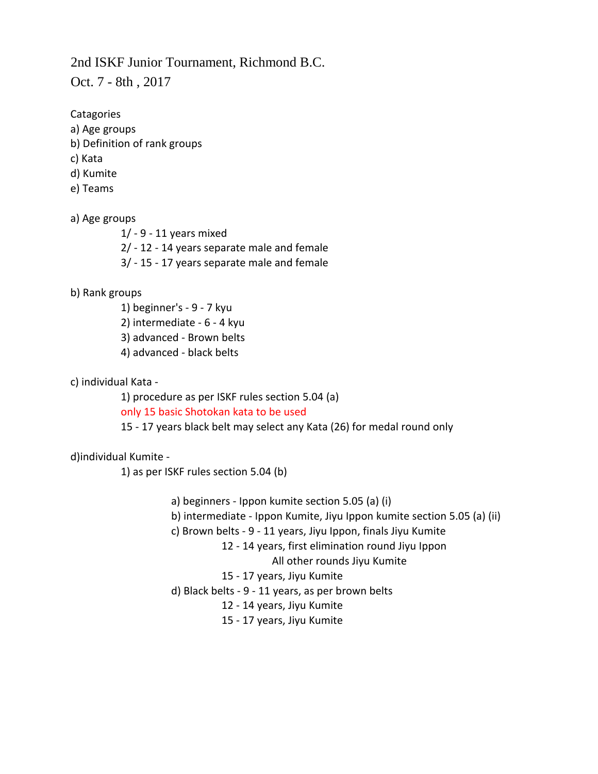## 2nd ISKF Junior Tournament, Richmond B.C.

Oct. 7 - 8th , 2017

**Catagories** 

- a) Age groups
- b) Definition of rank groups
- c) Kata
- d) Kumite
- e) Teams

## a) Age groups

- 1/ 9 11 years mixed
- 2/ 12 14 years separate male and female
- 3/ 15 17 years separate male and female

#### b) Rank groups

1) beginner's - 9 - 7 kyu 2) intermediate - 6 - 4 kyu 3) advanced - Brown belts 4) advanced - black belts

## c) individual Kata -

1) procedure as per ISKF rules section 5.04 (a) only 15 basic Shotokan kata to be used 15 - 17 years black belt may select any Kata (26) for medal round only

#### d)individual Kumite -

1) as per ISKF rules section 5.04 (b)

- a) beginners Ippon kumite section 5.05 (a) (i)
- b) intermediate Ippon Kumite, Jiyu Ippon kumite section 5.05 (a) (ii)

#### c) Brown belts - 9 - 11 years, Jiyu Ippon, finals Jiyu Kumite

12 - 14 years, first elimination round Jiyu Ippon

#### All other rounds Jiyu Kumite

- 15 17 years, Jiyu Kumite
- d) Black belts 9 11 years, as per brown belts
	- 12 14 years, Jiyu Kumite
	- 15 17 years, Jiyu Kumite